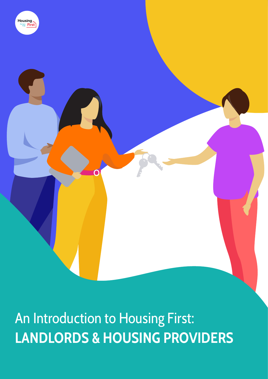

An Introduction to Housing First: **LANDLORDS & HOUSING PROVIDERS**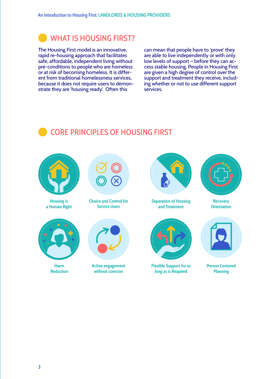# **WHAT IS HOUSING FIRST?**

The Housing First model is an innovative, rapid re-housing approach that facilitates safe, affordable, independent living without pre-conditions to people who are homeless or at risk of becoming homeless. It is different from traditional homelessness services, because it does not require users to demonstrate they are 'housing ready'. Often this

can mean that people have to 'prove' they are able to live independently or with only low levels of support – before they can access stable housing. People in Housing First are given a high degree of control over the support and treatment they receive, including whether or not to use different support services.

# **CORE PRINCIPLES OF HOUSING FIRST**



**Housing is a Human Right**



**Harm Reduction**



**Choice and Control for Service Users**



**Active engagement without coercion**



**Separation of Housing and Treatment**



**Flexible Support for as long as is Required**



**Recovery Orientation**



**Person Centered Planning**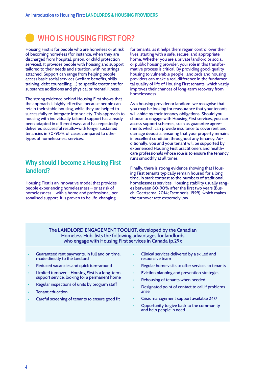# **WHO IS HOUSING FIRST FOR?**

Housing First is for people who are homeless or at risk of becoming homeless (for instance, when they are discharged from hospital, prison, or child protection services). It provides people with housing and support tailored to their needs and situation, with no strings attached. Support can range from helping people access basic social services (welfare benefits, skills training, debt counselling, …) to specific treatment for substance addictions and physical or mental illness.

The strong evidence behind Housing First shows that the approach is highly effective, because people can retain their stable housing, while they are helped to successfully re-integrate into society. This approach to housing with individually tailored support has already been adapted in different ways and has repeatedly delivered successful results―with longer sustained tenancies in 70-90% of cases compared to other types of homelessness services.

## Why should I become a Housing First<br> **Examplish Show Example Show** Finally, there is strong evidence showing that Hous<br> **Example Show the Show of the local final landlord?**

Housing First is an innovative model that provides people experiencing homelessness – or at risk of homelessness – with a home and professional, personalised support. It is proven to be life-changing

for tenants, as it helps them regain control over their lives, starting with a safe, secure, and appropriate home. Whether you are a private landlord or social or public housing provider, your role in this transformative process is critical. By providing good-quality housing to vulnerable people, landlords and housing providers can make a real difference in the fundamental quality of life of Housing First tenants, which vastly improves their chances of long-term recovery from homelessness.

As a housing provider or landlord, we recognise that you may be looking for reassurance that your tenants will abide by their tenancy obligations. Should you choose to engage with Housing First services, you can access support schemes, such as guarantee agreements which can provide insurance to cover rent and damage deposits, ensuring that your property remains in excellent condition throughout any tenancy. Additionally, you and your tenant will be supported by experienced Housing First practitioners and healthcare professionals whose role is to ensure the tenancy runs smoothly at all times.

First is an innovative model that provides<br> **LANDLORER SERVICES** And the numbers of traditional<br>
speriencing homelessness – or at risk of<br>
the process services. Housing stability usually rang-<br>
the Contenue 2014. Temple wi Finally, there is strong evidence showing that Housing First tenants typically remain housed for a long time, in stark contrast to the numbers of traditional es between 80-90% after the first two years (Busch-Geertsema, 2014; Tsemberis, 1999), which makes the turnover rate extremely low.

## The [LANDLORD ENGAGEMENT TOOLKIT,](https://www.homelesshub.ca/resource/landlord-engagement-toolkit-guide-working-landlords-housing-first-programs) developed by the Canadian Homeless Hub, lists the following advantages for landlords who engage with Housing First services in Canada (p.29):

- Guaranteed rent payments, in full and on time, made directly to the landlord
- Reduced vacancies and quick turn-around
- Limited turnover Housing First is a long-term support service, looking for a permanent home
- Regular inspections of units by program staff
- Tenant education
- Careful screening of tenants to ensure good fit
- Clinical services delivered by a skilled and responsive team
- Regular home visits to offer services to tenants
- Eviction planning and prevention strategies
- Rehousing of tenants when needed
- Designated point of contact to call if problems arise
- Crisis management support available 24/7
- Opportunity to give back to the community and help people in need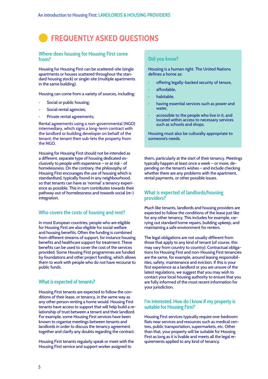# **FREQUENTLY ASKED QUESTIONS**

#### **Where does housing for Housing First come from?**

Housing for Housing First can be scattered-site (single apartments or houses scattered throughout the standard housing stock) or single-site (multiple apartments in the same building).

Housing can come from a variety of sources, including:

- Social or public housing;
- Social rental agencies;
- Private rental agreements;

Rental agreements using a non-governmental (NGO) intermediary, which signs a long-term contract with the landlord or building developer on behalf of the tenant; the tenant then sub-lets the property from the NGO.

Housing for Housing First should not be intended as a different, separate type of housing dedicated exclusively to people with experience – or at risk - of homelessness. On the contrary, the philosophy of Housing First encourages the use of housing which is standardised, typically found in any neighbourhood, so that tenants can have as 'normal' a tenancy experience as possible. This in turn contributes towards their pathway out of homelessness and towards social (re-) integration.

### **Who covers the costs of housing and rent?**

In most European countries, people who are eligible for Housing First are also eligible for social welfare and housing benefits. Often the funding is combined from different streams of support, for instance housing benefits and healthcare support for treatment. These benefits can be used to cover the cost of the services provided. Some Housing First programmes are funded by foundations and other project funding, which allows them to work with people who do not have recourse to public funds.

## **What is expected of tenants?**

Housing First tenants are expected to follow the conditions of their lease, or tenancy, in the same way as any other person renting a home would. Housing First tenants have access to support that will help build a relationship of trust between a tenant and their landlord. For example, some Housing First services have been known to organise meetings between tenants and landlords in order to discuss the tenancy agreement together and clarify any doubts regarding the contract.

Housing First tenants regularly speak or meet with the Housing First service and support worker assigned to

#### **Did you know?**

Housing is a human right. The [United Nations](https://www.ohchr.org/EN/Issues/Housing/toolkit/Pages/RighttoAdequateHousingToolkit.aspx) defines a home as:

- offering legally-backed security of tenure,
- affordable,
- habitable.
- having essential services such as power and water.
- accessible to the people who live in it, and located within access to necessary services such as schools and shops.

Housing must also be culturally appropriate to someone's needs.

them, particularly at the start of their tenancy. Meetings typically happen at least once a week – or more, depending on the tenant's wishes – and include checking whether there are any problems with the apartment, rental payments, or other possible issues.

### **What is expected of landlords/housing providers?**

Much like tenants, landlords and housing providers are expected to follow the conditions of the lease just like for any other tenancy. This includes for example, carrying out standard home repairs, building upkeep, and maintaining a safe environment for renters.

The legal obligations are not usually different from those that apply to any kind of tenant (of course, this may vary from country to country). Contractual obligations for Housing First and non-Housing First tenancies are the same, for example, around leasing responsibilities, safety, maintenance and eviction. If this is your first experience as a landlord or you are unsure of the latest regulations, we suggest that you may wish to contact your local housing authority to ensure that you are fully informed of the most recent information for your jurisdiction.

### **I'm interested. How do I know if my property is suitable for Housing First?**

Housing First services typically require one-bedroom flats near services and resources such as medical centres, public transportation, supermarkets, etc. Other than that, your property will be suitable for Housing First as long as it is livable and meets all the legal requirements applied to any kind of tenancy.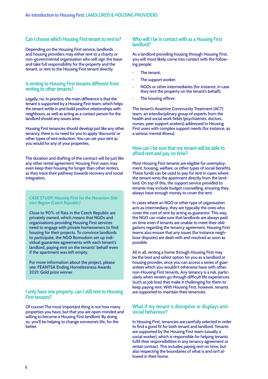## **Can I choose which Housing First tenant to rent to?**

Depending on the Housing First service, landlords and housing providers may either rent to a charity or non-governmental organisation who will sign the lease and take full responsibility for the property and the tenant, or rent to the Housing First tenant directly.

#### **Is renting to Housing First tenants different from renting to other tenants?**

Legally, no. In practice, the main difference is that the tenant is supported by a Housing First team, which helps the tenant settle in and build positive relationships with neighbours, as well as acting as a contact person for the landlord should any issues arise.

Housing First tenancies should develop just like any other tenancy, there is no need for you to apply 'discounts' or other types of rent reduction. You can set your rent as you would for any of your properties.

Ition and dratting of the contract will be just like<br>
r rental agreement. Housing First users may Most Housing First tenants are eligible for unemploy-<br>
p their housing for longer than other renters, Theoretic properties o The duration and drafting of the contract will be just like any other rental agreement. Housing First users may even keep their housing for longer than other renters, as they trace their pathway towards recovery and social integration.

#### *CASE STUDY: Housing First for the Moravian-Silesian Region (Czech Republic)*

Close to 90% of flats in the Czech Republic are privately owned, which means that NGOs and organisations providing Housing First services need to engage with private homeowners to find housing for their projects. To convince landlords to participate, the NGO Romodom set up individual guarantee agreements with each tenant's landlord, paying rent on the tenants' behalf even if the apartment was left empty.

For more information about the project, please see: [FEANTSA Ending Homelessness Awards](https://www.youtube.com/watch?v=m-zWP-MIUV0)  [2021: Gold prize winner](https://www.youtube.com/watch?v=m-zWP-MIUV0)

#### **I only have one property, can I still rent to Housing First tenants?**

Of course! The most important thing is not how many properties you have, but that you are open-minded and willing to become a Housing First landlord. By doing so, you'll be helping to change someone's life, for the better.

#### **Who will I be in contact with as a Housing First landlord?**

As a landlord providing housing through Housing First, you will most likely come into contact with the following people:

- The tenant;
- The support worker;
- NGOs or other intermediaries (for instance, in case they rent the property on the tenant's behalf);
- The housing officer;

The tenant's Assertive Community Treatment (ACT) team, an interdisciplinary group of experts from the health and social work fields (psychiatrists, doctors, nurses, peer support workers) addressed to Housing First users with complex support needs (for instance, as a serious mental illness).

### **How can I be sure that my tenant will be able to afford rent and pay on time?**

INCREDS TO THE TEND TO THE TEND TO THE UPPER THE CONDUCT OF THE UPPER TEND.<br>
The tenants may include budget counselling, ensuring they<br>
tenants may include budget counselling, ensuring they<br>
shown have appear to example an Most Housing First tenants are eligible for unemploy-These funds can be used to pay for rent in cases where the tenant rents the apartment directly from the landlord. On top of this, the support service provided to always have enough money to cover the rent.

> In cases where an NGO or other type of organisation acts as intermediary, they are typically the ones who cover the cost of rent by acting as guarantor. This way, the NGO can make sure that landlords are always paid on time even if tenants are unable to meet their obligations regarding the tenancy agreement. Housing First teams also ensure that any issues (for instance neighbour disputes) are dealt with and resolved as soon as possible.

All in all, renting a home through Housing First may be the best and safest option for you as a landlord or housing provider, since you can access a series of guarantees which you wouldn't otherwise have with other, non-Housing First tenants. Any tenancy is a risk, particularly when renters go through difficult life experiences (such as job loss) that make it challenging for them to keep paying rent. With Housing First, however, tenants are supported to maintain their tenancies.

### **What if my tenant is disruptive or displays antisocial behaviour?**

In Housing First, tenancies are carefully selected in order to find a good fit for both tenant and landlord. Tenants are supported by the Housing First team (usually a social worker), which is responsible for helping tenants fulfil their responsibilities in any tenancy agreement or rental contract. This includes paying rent on time, but also respecting the boundaries of what is and isn't allowed in their home.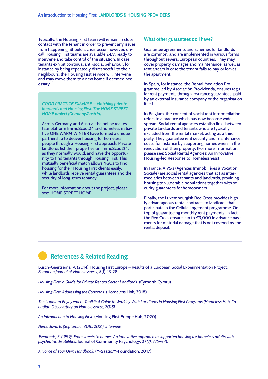Typically, the Housing First team will remain in close contact with the tenant in order to prevent any issues from happening. Should a crisis occur, however, oncall Housing First teams are available 24/7, ready to intervene and take control of the situation. In case tenants exhibit continual anti-social behaviour, for instance by being repeatedly disrespectful to their neighbours, the Housing First service will intervene and may move them to a new home if deemed necessary.

*GOOD PRACTICE EXAMPLE – Matching private landlords and Housing First: The HOME STREET HOME project (Germany/Austria)*

Across Germany and Austria, the online real estate platform ImmoScout24 and homeless initiative ONE WARM WINTER have formed a unique partnership to deliver housing for homeless people through a Housing First approach. Private landlords list their properties on ImmoScout24, as they normally would, and have the opportunity to find tenants through Housing First. This mutually beneficial match allows NGOs to find housing for their Housing First clients easily, while landlords receive rental guarantees and the security of long-term tenancy.

For more information about the project, please see: [HOME STREET HOME](https://homestreethome.immobilienscout24.de/#first)

#### **What other guarantees do I have?**

Guarantee agreements and schemes for landlords are common, and are implemented in various forms throughout several European countries. They may cover property damages and maintenance, as well as rent arrears in case the tenant fails to pay or leaves the apartment.

In Spain, for instance, the [Rental Mediation Pro](https://world-habitat.org/world-habitat-awards/winners-and-finalists/rental-mediation-programme/#award-content)[gramme](https://world-habitat.org/world-habitat-awards/winners-and-finalists/rental-mediation-programme/#award-content) led by Asociación Provivienda, ensures regular rent payments through insurance guarantees, paid by an external insurance company or the organisation itself.

In Belgium, the concept of social rent intermediation refers to a practice which has now become widespread. Social rental agencies establish links between private landlords and tenants who are typically excluded from the rental market, acting as a third party. They guarantee rent security and maintenance costs, for instance by supporting homeowners in the renovation of their property. (For more information, please see: [Social Rental Agencies: An Innovative](https://www.feantsa.org/download/2012_06_22_sra_final_en-2-2292903742234225547.pdf)  [Housing-led Response to Homelessness](https://www.feantsa.org/download/2012_06_22_sra_final_en-2-2292903742234225547.pdf))

In France, AIVS's [\(Agences Immobilières à Vocation](https://www.habitat-humanisme.org/le-mouvement/les-aivs/)  [Sociale\)](https://www.habitat-humanisme.org/le-mouvement/les-aivs/) are social rental agencies that act as intermediaries between tenants and landlords, providing housing to vulnerable populations together with security guarantees for homeowners.

Finally, the Luxembourgish Red Cross provides highly advantageous rental contracts to landlords that participate in the [Cellule Logement](https://www.croix-rouge.lu/en/service/cellule-logement-housing-the-most-disadvantaged-people/) programme. On top of guaranteeing monthly rent payments, in fact, the Red Cross ensures up to €3,000 in advance payments for material damage that is not covered by the rental deposit.

# **References & Related Reading:**

[Busch-Geertsema, V. \(2014\). Housing First Europe – Results of a European Social Experimentation Project.](https://www.feantsaresearch.org/download/article-01_8-13977658399374625612.pdf)  *[European Journal of Homelessness, 8](https://www.feantsaresearch.org/download/article-01_8-13977658399374625612.pdf)*[\(1\), 13-28.](https://www.feantsaresearch.org/download/article-01_8-13977658399374625612.pdf)

*[Housing First: a Guide for Private Rented Sector Landlords](https://www.cymorthcymru.org.uk/files/2816/1979/4692/HF_PRS_landlord_guide_-_English.pdf)*[. \(Cymorth Cymru\)](https://www.cymorthcymru.org.uk/files/2816/1979/4692/HF_PRS_landlord_guide_-_English.pdf)

*[Housing First: Addressing the Concerns](https://hfe.homeless.org.uk/sites/default/files/attachments/Housing%20First_Guide%20for%20housing%20associations.pdf)*[. \(Homeless Link, 2018\)](https://hfe.homeless.org.uk/sites/default/files/attachments/Housing%20First_Guide%20for%20housing%20associations.pdf)

*[The Landlord Engagement Toolkit: A Guide to Working With Landlords in Housing First Programs \(Homeless Hub, Ca](https://www.homelesshub.ca/sites/default/files/attachments/LANDLORD%20TOOLKIT_ENG_web.pdf)[nadian Observatory on Homelessness, 2018\)](https://www.homelesshub.ca/sites/default/files/attachments/LANDLORD%20TOOLKIT_ENG_web.pdf)*

*[An Introduction to Housing First](https://housingfirsteurope.eu/assets/files/2020/11/Introduction-to-HF-and-FAQ-FINAL-17.11.2020.pdf)*[. \(Housing First Europe Hub, 2020\)](https://housingfirsteurope.eu/assets/files/2020/11/Introduction-to-HF-and-FAQ-FINAL-17.11.2020.pdf)

*Nemodová, E. (September 30th, 2021), interview.*

*[Tsemberis, S. \(1999\). From streets to homes: An innovative approach to supported housing for homeless adults with](https://doi.org/10.1002/(SICI)1520-6629(199903)27:2%3C225::AID-JCOP9%3E3.0.CO;2-Y)  [psychiatric disabilities.](https://doi.org/10.1002/(SICI)1520-6629(199903)27:2%3C225::AID-JCOP9%3E3.0.CO;2-Y)* [Journal of Community Psychology, 27](https://doi.org/10.1002/(SICI)1520-6629(199903)27:2%3C225::AID-JCOP9%3E3.0.CO;2-Y)*[\(2\), 225–241.](https://doi.org/10.1002/(SICI)1520-6629(199903)27:2%3C225::AID-JCOP9%3E3.0.CO;2-Y)*

*[A Home of Your Own Handbook](https://ysaatio.fi/en/housing-first-finland/a-home-of-your-own-handbook)*[. \(Y-Säätio/Y-Foundation, 2017](https://ysaatio.fi/en/housing-first-finland/a-home-of-your-own-handbook)[\)](https://housingfirsteurope.eu/assets/files/2020/11/Introduction-to-HF-and-FAQ-FINAL-17.11.2020.pdf)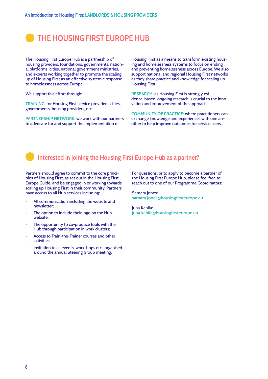# **THE HOUSING FIRST EUROPE HUB**

The Housing First Europe Hub is a partnership of housing providers, foundations, governments, national platforms, cities, national government ministries, and experts working together to promote the scaling up of Housing First as an effective systemic response to homelessness across Europe.

We support this effort through:

TRAINING: for Housing First service providers, cities, governments, housing providers, etc.

PARTNERSHIP NETWORK: we work with our partners to advocate for and support the implementation of

Housing First as a means to transform existing housing and homelessness systems to focus on ending and preventing homelessness across Europe. We also support national and regional Housing First networks as they share practice and knowledge for scaling up Housing First.

RESEARCH: as Housing First is strongly evidence-based, ongoing research is crucial to the innovation and improvement of the approach.

COMMUNITY OF PRACTICE: where practitioners can exchange knowledge and experiences with one another to help improve outcomes for service users.

# Reference in Johnny the Housing First Europe Hub as a partner?<br>The Housing countries to the consideration of the contemplate because and the of  **Interested in joining the Housing First Europe Hub as a partner?**

busing First, as set out in the Housing First<br>
Land be engaged in or working towards reach out to one of our Programme Coordinators:<br>
p Housing First in their community. Partners<br>
p and a latter of the services including Partners should agree to commit to the core principles of Housing First, as set out in the Housing First Europe Guide, and be engaged in or working towards scaling up Housing First in their community. Partners have access to all Hub services including:

- All communication including the website and newsletter;
- The option to include their logo on the Hub website;
- The opportunity to co-produce tools with the Hub through participation in work clusters;
- Access to Train-the-Trainer courses and other activities;
- Invitation to all events, workshops etc., organised around the annual Steering Group meeting.

For questions, or to apply to become a partner of the Housing First Europe Hub, please feel free to

Samara Jones: samara.jones@housingfirsteurope.eu

Juha Kahila: juha.kahila@housingfirsteurope.eu